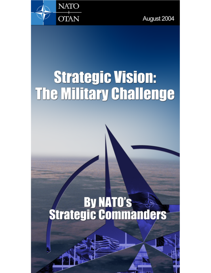

August 2004

## **Strategic Vision: The Military Challenge**

# **Strategic Commanders**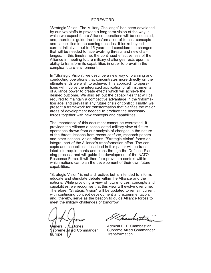#### FOREWORD

"Strategic Vision: The Military Challenge" has been developed by our two staffs to provide a long term vision of the way in which we expect future Alliance operations will be conducted, and, therefore, guide the transformation of forces, concepts and capabilities in the coming decades. It looks beyond current initiatives out to 15 years and considers the changes that will be needed to face evolving threats and new challenges. In this timeframe, the continued effectiveness of the Alliance in meeting future military challenges rests upon its ability to transform its capabilities in order to prevail in the complex future environment.

In "Strategic Vision", we describe a new way of planning and conducting operations that concentrates more directly on the ultimate ends we wish to achieve. This approach to operations will involve the integrated application of all instruments of Alliance power to create effects which will achieve the desired outcome. We also set out the capabilities that will be required to maintain a competitive advantage in the 'information age' and prevail in any future crisis or conflict. Finally, we present a framework for transformation that clarifies the major areas of development needed to produce the necessary forces together with new concepts and capabilities.

The importance of this document cannot be overstated. It provides the Alliance a consolidated military view of future operations drawn from our analysis of changes in the nature of the threat, lessons from recent conflicts, research papers and other national vision efforts. "Strategic Vision" forms an integral part of the Alliance's transformation effort. The concepts and capabilities described in this paper will be translated into requirements and plans through the Defence Planning process, and will guide the development of the NATO Response Force. It will therefore provide a context within which nations can plan the development of their own future capabilities.

"Strategic Vision" is not a directive, but is intended to inform, educate and stimulate debate within the Alliance and the nations. While providing a view of future forces, concepts and capabilities, we recognise that this view will evolve over time. Therefore, "Strategic Vision" will be updated to remain current with continuing concept development and experimentation, and, thereby, serve as the beacon to guide Alliance forces to meet the military challenges of tomorrow.

heral J.*I*L.*I*Jones preme Allied Commander urope

Franks

Admiral E. P. Giambastiani Supreme Allied Commander Transformation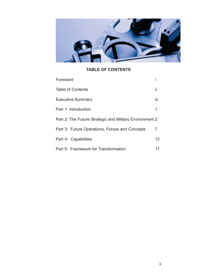

### **TABLE OF CONTENTS**

| Foreward                                                |     |
|---------------------------------------------------------|-----|
| <b>Table of Contents</b>                                | ii  |
| <b>Executive Summary</b>                                | iii |
| Part 1: Introduction                                    | 1   |
| Part 2: The Future Strategic and Military Environment 2 |     |
| Part 3: Future Operations, Forces and Concepts          | 7   |
| Part 4: Capabilities                                    | 12  |
| Part 5: Framework for Transformation                    | 17  |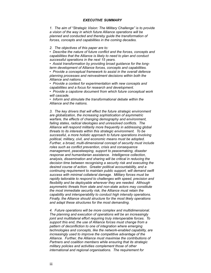#### *EXECUTIVE SUMMARY*

*1. The aim of "Strategic Vision: The Military Challenge" is to provide a vision of the way in which future Alliance operations will be planned and conducted and thereby guide the transformation of forces, concepts and capabilities in the coming decades.*

*2. The objectives of this paper are to:*

*• Describe the nature of future conflict and the forces, concepts and capabilities that the Alliance is likely to need to plan and conduct successful operations in the next 15 years.*

*• Assist transformation by providing broad guidance for the longterm development of Alliance forces, concepts and capabilities.*

*• Provide a conceptual framework to assist in the overall defence planning processes and reinvestment decisions within both the Alliance and nations.*

*• Provide a context for experimentation with new concepts and capabilities and a focus for research and development.*

*• Provide a capstone document from which future conceptual work will cascade.*

*• Inform and stimulate the transformational debate within the Alliance and the nations.*

*3. The key drivers that will effect the future strategic environment are globalization, the increasing sophistication of asymmetric warfare, the effects of changing demography and environment, failing states, radical ideologies and unresolved conflicts. The Alliance will respond militarily more frequently in addressing global threats to its interests within this strategic environment. To be successful, a more holistic approach to future operations involving political, military, civil, and economic means must be adopted. Further, a broad, multi-dimensional concept of security must include roles such as conflict prevention, crisis and consequence management, peacekeeping, support to peacemaking, disaster response and humanitarian assistance. Intelligence collection, analysis, dissemination and sharing will be critical in reducing the decision time between recognising a security risk and executing the desired course of action. Greater political accountability, and a continuing requirement to maintain public support, will demand swift success with minimal collateral damage. Military forces must be rapidly tailorable to respond to challenges with speed, precision and flexibility and be deployable wherever they are needed. Although asymmetric threats from state and non-state actors may constitute the most immediate security risk, the Alliance must retain the capability and interoperability to conduct high intensity operations. Finally, the Alliance should structure for the most likely operations and adapt these structures for the most demanding.*

*4. Future operations will be more complex and multidimensional. The planning and execution of operations will be an increasingly joint and multilateral effort requiring truly interoperable forces. To support this end, the use of Alliance forces must change from a pattern of deconfliction to one of integration where emerging technologies and concepts, like the network-enabled capability, are increasingly used to improve the competitive advantage of the Alliance. Further, the Alliance must maximise the contributions of Partners and coalition members while ensuring that its strategic military policies and activities complement those of other international and regional organisations. The requirement for*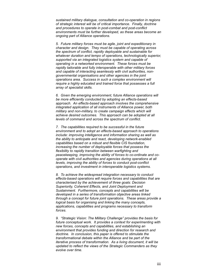*sustained military dialogue, consultation and co-operation in regions of strategic interest will be of critical importance. Finally, doctrine and procedures to operate in post-combat and post-conflict environments must be further developed, as these areas become an ongoing part of Alliance operations.*

*5. Future military forces must be agile, joint and expeditionary in character and design. They must be capable of operating across the spectrum of conflict, rapidly deployable and sustainable for whatever duration and tempo of operations, technologically superior, supported via an integrated logistics system and capable of operating in a networked environment. These forces must be rapidly tailorable and fully interoperable with other military forces and capable of interacting seamlessly with civil authorities, nongovernmental organisations and other agencies in the joint operations area. Success in such a complex environment will require a highly educated and trained force that possesses a full array of specialist skills.*

*6. Given the emerging environment, future Alliance operations will be more efficiently conducted by adopting an effects-based approach. An effects-based approach involves the comprehensive integrated application of all instruments of Alliance power, both military and non-military, to create campaign effects which will achieve desired outcomes. This approach can be adopted at all levels of command and across the spectrum of conflict.*

*7. The capabilities required to be successful in the future environment and to adopt an effects-based approach to operations include: improving intelligence and information sharing as well as the ability to anticipate and react, developing network-enabled capabilities based on a robust and flexible CIS foundation, increasing the number of deployable forces that possess the flexibility to rapidly transition between warfighting and peacekeeping, improving the ability of forces to co-ordinate and cooperate with civil authorities and agencies during operations at all levels, improving the ability of forces to conduct post-conflict operations, and investment in interoperable logistics systems.*

*8. To achieve the widespread integration necessary to conduct effects-based operations will require forces and capabilities that are characterised by the achievement of three goals: Decision Superiority, Coherent Effects, and Joint Deployment and Sustainment. Furthermore, concepts and capabilities will be developed in a series of transformation objective areas linked through a concept for future joint operations. These areas provide a logical basis for organising and linking the many concepts, applications, capabilities and programs necessary to transform forces.*

*9. "Strategic Vision: The Military Challenge" provides the basis for future conceptual work. It provides a context for experimenting with new forces, concepts and capabilities, and establishing an environment that provides funding and direction for research and doctrine. In conclusion, this paper is offered to stimulate the transformational debate within the Alliance and be part of the iterative process of transformation. As a living document, it will be updated to reflect the views of the Strategic Commanders as they evolve over time.*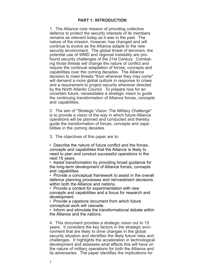1. The Alliance core mission of providing collective defence to protect the security interests of its members remains as relevant today as it was in the past. The nature of the mission, however, has changed and will continue to evolve as the Alliance adapts to the new security environment. The global threat of terrorism, the potential use of WMD and regional instability are profound security challenges of the 21st Century. Combating those threats will change the nature of conflict and require the continual adaptation of forces, concepts and capabilities over the coming decades. The Alliance decision to meet threats "from wherever they may come" will demand a more global outlook in response to crises and a requirement to project security wherever directed by the North Atlantic Council. To prepare now for an uncertain future, necessitates a strategic vision to guide the continuing transformation of Alliance forces, concepts and capabilities.

2. The aim of "Strategic Vision: The Military Challenge" is to provide a vision of the way in which future Alliance operations will be planned and conducted and thereby guide the transformation of forces, concepts and capabilities in the coming decades.

3. The objectives of this paper are to:

• Describe the nature of future conflict and the forces, concepts and capabilities that the Alliance is likely to need to plan and conduct successful operations in the next 15 years.

• Assist transformation by providing broad guidance for the long-term development of Alliance forces, concepts and capabilities.

• Provide a conceptual framework to assist in the overall defence planning processes and reinvestment decisions within both the Alliance and nations.

• Provide a context for experimentation with new concepts and capabilities and a focus for research and development.

• Provide a capstone document from which future conceptual work will cascade.

• Inform and stimulate the transformational debate within the Alliance and the nations.

4. This document provides a strategic vision out to 15 years. It considers the key factors in the strategic environment that are likely to drive changes in the global security situation and identifies the likely future risks and challenges. It highlights the acceleration in technological development and assesses what effects this will have on the nature of military operations for both the Alliance and its adversaries. The paper identifies the implications for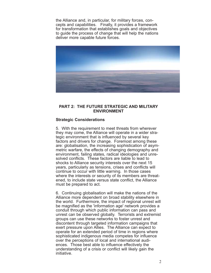the Alliance and, in particular, for military forces, concepts and capabilities. Finally, it provides a framework for transformation that establishes goals and objectives to guide the process of change that will help the nations deliver more capable future forces.



#### **PART 2: THE FUTURE STRATEGIC AND MILITARY ENVIRONMENT**

#### **Strategic Considerations**

5. With the requirement to meet threats from wherever they may come, the Alliance will operate in a wider strategic environment that is influenced by several key factors and drivers for change. Foremost among these are: globalisation, the increasing sophistication of asymmetric warfare, the effects of changing demography and environment, failing states, radical ideologies and unresolved conflicts. These factors are liable to lead to shocks to Alliance security interests over the next 15 years, particularly as tensions, crises and conflicts will continue to occur with little warning. In those cases where the interests or security of its members are threatened, to include state versus state conflict, the Alliance must be prepared to act.

6. Continuing globalisation will make the nations of the Alliance more dependent on broad stability elsewhere in the world. Furthermore, the impact of regional unrest will be magnified as the 'information age' network provides a conduit through which public information can pass and unrest can be observed globally. Terrorists and extremist groups can use these networks to foster unrest and discontent through targeted information campaigns that exert pressure upon Allies. The Alliance can expect to operate for an extended period of time in regions where sophisticated indigenous media competes for influence over the perceptions of local and international audiences. Those best able to influence effectively the understanding of a crisis or conflict will likely gain the initiative.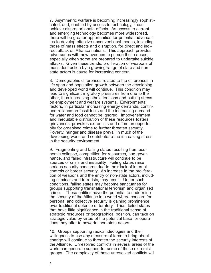7. Asymmetric warfare is becoming increasingly sophisticated, and, enabled by access to technology, it can achieve disproportionate effects. As access to current and emerging technology becomes more widespread, there will be greater opportunities for potential adversaries to develop effective unconventional means, including those of mass effects and disruption, for direct and indirect attack on Alliance nations. This approach provides adversaries with new avenues to pursue their causes, especially when some are prepared to undertake suicide attacks. Given these trends, proliferation of weapons of mass destruction by a growing range of state and nonstate actors is cause for increasing concern.

8. Demographic differences related to the differences in life span and population growth between the developing and developed world will continue. This condition may lead to significant migratory pressures from one to the other, thus increasing ethnic tensions and putting stress on employment and welfare systems. Environmental factors, in particular increasing energy demands, continued reliance on fossil fuels and the increasing demand for water and food cannot be ignored. Impoverishment and inequitable distribution of these resources fosters grievances, provokes extremists and offers an opportunity for organised crime to further threaten security. Poverty, hunger and disease prevail in much of the developing world and contribute to the increasing stress in the security environment.

9. Fragmenting and failing states resulting from economic collapse, competition for resources, bad governance, and failed infrastructure will continue to be sources of crisis and instability. Failing states raise serious security concerns due to their lack of internal controls or border security. An increase in the proliferation of weapons and the entry of non-state actors, including criminals and terrorists, may result. Under such conditions, failing states may become sanctuaries for groups supporting transnational terrorism and organised crime. These entities have the potential to undermine the security of the Alliance in a world where concern for personal and collective security is gaining prominence over traditional defence of territory. Thus, failed states that have little significance in the traditional sense of strategic resources or geographical position, can take on strategic value by virtue of the potential base for operations they offer to powerful non-state actors.

10. Groups supporting radical ideologies and their willingness to use any measure of force to bring about change will continue to threaten the security interests of the Alliance. Unresolved conflicts in several areas of the world can generate support for some of these extremist groups. The complexity of these unresolved conflicts will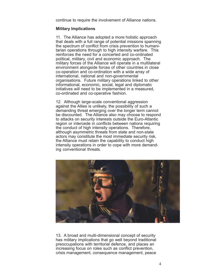continue to require the involvement of Alliance nations.

#### **Military Implications**

11. The Alliance has adopted a more holistic approach that deals with a full range of potential missions spanning the spectrum of conflict from crisis prevention to humanitarian operations through to high intensity warfare. This reinforces the need for a concerted and co-ordinated political, military, civil and economic approach. The military forces of the Alliance will operate in a multilateral environment alongside forces of other countries in close co-operation and co-ordination with a wide array of international, national and non-governmental organisations. Future military operations linked to other informational, economic, social, legal and diplomatic initiatives will need to be implemented in a measured, co-ordinated and co-operative fashion.

12. Although large-scale conventional aggression against the Allies is unlikely, the possibility of such a demanding threat emerging over the longer term cannot be discounted. The Alliance also may choose to respond to attacks on security interests outside the Euro-Atlantic region or intercede in conflicts between nations requiring the conduct of high intensity operations. Therefore, although asymmetric threats from state and non-state actors may constitute the most immediate security risk, the Alliance must retain the capability to conduct high intensity operations in order to cope with more demanding conventional threats.



13. A broad and multi-dimensional concept of security has military implications that go well beyond traditional preoccupations with territorial defence, and places an increasing focus on roles such as conflict prevention, crisis management, consequence management, peace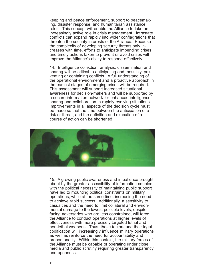keeping and peace enforcement, support to peacemaking, disaster response, and humanitarian assistance roles. This concept will enable the Alliance to take an increasingly active role in crisis management. Intrastate conflicts can expand rapidly into wider conflagrations that threaten the security interests of the Alliance. Because the complexity of developing security threats only increases with time, efforts to anticipate impending crises and timely actions taken to prevent or avoid crises will improve the Alliance's ability to respond effectively.

14. Intelligence collection, analysis, dissemination and sharing will be critical to anticipating and, possibly, preventing or containing conflicts. A full understanding of the operational environment and a proactive approach in the earliest stages of emerging crises will be required. This assessment will support increased situational awareness for decision-makers and will be supported by a secure information network for enhanced intelligence sharing and collaboration in rapidly evolving situations. Improvements in all aspects of the decision cycle must be made so that the time between the anticipation of a risk or threat, and the definition and execution of a course of action can be shortened.



15. A growing public awareness and impatience brought about by the greater accessibility of information coupled with the political necessity of maintaining public support have led to mounting political constraints on military operations, while at the same time, increasing the need to achieve rapid success. Additionally, a sensitivity to casualties and the need to limit collateral and environmental damage to the lowest possible levels, despite facing adversaries who are less constrained, will force the Alliance to conduct operations at higher levels of effectiveness with more precisely targeted lethal and non-lethal weapons. Thus, these factors and their legal codification will increasingly influence military operations as well as reinforce the need for accountability and proportionality. Within this context, the military forces of the Alliance must be capable of operating under close media and public scrutiny requiring greater transparency and openness.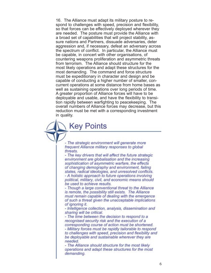16. The Alliance must adapt its military posture to respond to challenges with speed, precision and flexibility, so that forces can be effectively deployed wherever they are needed. The posture must provide the Alliance with a broad set of capabilities that will project stability, assure nations and Partners, dissuade adversaries, deter aggression and, if necessary, defeat an adversary across the spectrum of conflict. In particular, the Alliance must be capable, in concert with other organisations, of countering weapons proliferation and asymmetric threats from terrorism. The Alliance should structure for the most likely operations and adapt these structures for the most demanding. The command and force structure must be expeditionary in character and design and be capable of conducting a higher number of smaller, concurrent operations at some distance from home bases as well as sustaining operations over long periods of time. A greater proportion of Alliance forces will have to be deployable and usable, and have the flexibility to transition rapidly between warfighting to peacekeeping. The overall numbers of Alliance forces may decrease, but this reduction must be met with a corresponding investment in quality.

- The strategic environment will generate more

**Key Points** 

frequent Alliance military responses to global threats.

- The key drivers that will affect the future strategic environment are globalisation and the increasing sophistication of asymmetric warfare, the effects of changing demography and environment, failing states, radical ideologies, and unresolved conflicts. - A holistic approach to future operations involving political, military, civil, and economic means should be used to achieve results.

- Though a large conventional threat to the Alliance is remote, the possibility still exists. The Alliance must remain capable of dealing with the emergence of such a threat given the unacceptable implications of ignoring it.

- Intelligence collection, analysis, dissemination and sharing will be critical.

- The time between the decision to respond to a recognised security risk and the execution of a corresponding course of action must be shortened. - Military forces must be rapidly tailorable to respond to challenges with speed, precision and flexibility and be deployable and sustainable wherever they are needed.

- The Alliance should structure for the most likely operations and adapt these structures for the most demanding.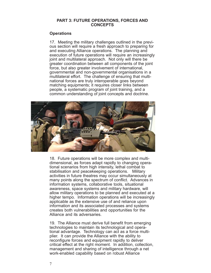#### **PART 3: FUTURE OPERATIONS, FORCES AND CONCEPTS**

#### **Operations**

17. Meeting the military challenges outlined in the previous section will require a fresh approach to preparing for and executing Alliance operations. The planning and execution of future operations will require an increasingly joint and multilateral approach. Not only will there be greater coordination between all components of the joint force, but also greater involvement of international, governmental and non-governmental organisations in a multilateral effort. The challenge of ensuring that multinational forces are truly interoperable goes beyond matching equipments; it requires closer links between people, a systematic program of joint training, and a common understanding of joint concepts and doctrine.



18. Future operations will be more complex and multidimensional, as forces adapt rapidly to changing operational scenarios from high intensity, lethal combat to stabilisation and peacekeeping operations. Military activities in future theatres may occur simultaneously at many points along the spectrum of conflict. Advances in information systems, collaborative tools, situational awareness, space systems and military hardware, will allow military operations to be planned and executed at a higher tempo. Information operations will be increasingly applicable as the extensive use of and reliance upon information and its associated processes and systems creates both vulnerabilities and opportunities for the Alliance and its adversaries.

19. The Alliance must derive full benefit from emerging technologies to maintain its technological and operational advantage. Technology can act as a force multiplier. It can provide the Alliance with the ability to reconfigure forces and equipment rapidly to deliver critical effect at the right moment. In addition, collection, management and sharing of intelligence through a net work-enabled capability based on robust Alliance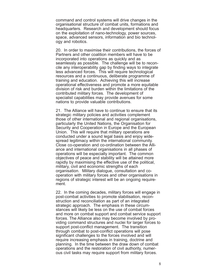command and control systems will drive changes in the organisational structure of combat units, formations and headquarters. Research and development should focus on the exploitation of nano-technology, power sources, space, advanced sensors, information and bio technology and robotics.

20. In order to maximise their contributions, the forces of Partners and other coalition members will have to be incorporated into operations as quickly and as seamlessly as possible. The challenge will be to reconcile any interoperability gap by finding ways to integrate less advanced forces. This will require technological resources and a continuous, deliberate programme of training and education. Achieving this will increase operational effectiveness and promote a more equitable division of risk and burden within the limitations of the contributed military forces. The development of specialist capabilities may provide avenues for some nations to provide valuable contributions.

21. The Alliance will have to continue to ensure that its strategic military policies and activities complement those of other international and regional organisations, particularly the United Nations, the Organisation for Security and Cooperation in Europe and the European Union. This will require that military operations are conducted under a sound legal basis and enjoy widespread legitimacy within the international community. Close co-operation and co-ordination between the Alliance and international organisations in all phases of operations will be especially important. The common objectives of peace and stability will be attained more rapidly by maximising the effective use of the political, military, civil and economic strengths of each organisation. Military dialogue, consultation and cooperation with military forces and other organisations in regions of strategic interest will be an ongoing requirement.

22. In the coming decades, military forces will engage in post-combat activities to promote stabilisation, reconstruction and reconciliation as part of an integrated strategic approach. The emphasis in these circumstances will likely be less on the use of combat forces and more on combat support and combat service support forces. The Alliance also may become involved by providing command structures and nuclei for larger forces to support post-conflict management. The transition through combat to post-conflict operations will pose significant challenges to the forces involved and will require increasing emphasis in training, doctrine and planning. In the time between the draw down of combat operations and the restoration of civil authority, numerous civil tasks may require support from military forces.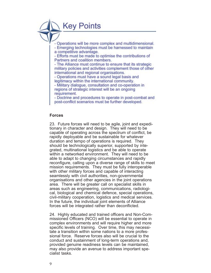**Key Points** 

- Operations will be more complex and multidimensional.

- Emerging technologies must be harnessed to maintain a competitive advantage.

- Efforts must be made to optimise the contributions of Partners and coalition members.

- The Alliance must continue to ensure that its strategic military policies and activities complement those of other international and regional organisations.

- Operations must have a sound legal basis and legitimacy within the international community.

- Military dialogue, consultation and co-operation in regions of strategic interest will be an ongoing requirement.

- Doctrine and procedures to operate in post-combat and post-conflict scenarios must be further developed.

#### **Forces**

23. Future forces will need to be agile, joint and expeditionary in character and design. They will need to be capable of operating across the spectrum of conflict, be rapidly deployable and be sustainable for whatever duration and tempo of operations is required. They should be technologically superior, supported by integrated, multinational logistics and be able to operate within a networked environment. They will need to be able to adapt to changing circumstances and rapidly reconfigure, calling upon a diverse range of skills to meet mission requirements. They must be fully interoperable with other military forces and capable of interacting seamlessly with civil authorities, non-governmental organisations and other agencies in the joint operations area. There will be greater call on specialist skills in areas such as engineering, communications, radiological, biological and chemical defence, special operations, civil-military cooperation, logistics and medical services. In the future, the individual joint elements of Alliance forces will be integrated rather than deconflicted.

24. Highly educated and trained officers and Non-Commissioned Officers (NCO) will be essential to operate in complex environments and will require higher and more specific levels of training. Over time, this may necessitate a transition within some nations to a more professional force. Reserve forces also will be crucial to the conduct and sustainment of long-term operations and, provided genuine readiness levels can be maintained, may also provide an avenue to address important specialist tasks.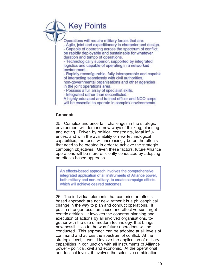## **Key Points**

Operations will require military forces that are: - Agile, joint and expeditionary in character and design. - Capable of operating across the spectrum of conflict, be rapidly deployable and sustainable for whatever duration and tempo of operations.

- Technologically superior, supported by integrated logistics and capable of operating in a networked environment.

- Rapidly reconfigurable, fully interoperable and capable of interacting seamlessly with civil authorities. non-governmental organisations and other agencies in the joint operations area.

- Possess a full array of specialist skills.

- Integrated rather than deconflicted.

A highly educated and trained officer and NCO corps

will be essential to operate in complex environments.

#### **Concepts**

25. Complex and uncertain challenges in the strategic environment will demand new ways of thinking, planning and acting. Driven by political constraints, legal influences, and with the availability of new technological capabilities, the focus will increasingly be on the effects that need to be created in order to achieve the strategic campaign objectives. Given these factors, future Alliance operations will be more efficiently conducted by adopting an effects-based approach.

An effects-based approach involves the comprehensive integrated application of all instruments of Alliance power, both military and non-military, to create campaign effects which will achieve desired outcomes.

26. The individual elements that comprise an effectsbased approach are not new, rather it is a philosophical change in the way to plan and conduct operations. It puts a stronger focus on cause and effect versus targetcentric attrition. It involves the coherent planning and execution of actions by all involved organisations, together with the use of modern technology, that brings new possibilities to the way future operations will be conducted. This approach can be adopted at all levels of command and across the spectrum of conflict. At the strategic level, it would involve the application of military capabilities in conjunction with all instruments of Alliance power - political, civil and economic. At the operational and tactical levels, it involves the selective combination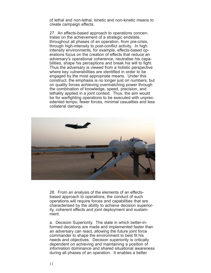of lethal and non-lethal, kinetic and non-kinetic means to create campaign effects.

27. An effects-based approach to operations concentrates on the achievement of a strategic endstate, throughout all phases of an operation, from pre-crisis, through high-intensity to post-conflict activity. In high intensity environments, for example, effects-based operations focus on the creation of effects that reduce an adversary's operational coherence, neutralise his capabilities, shape his perceptions and break his will to fight. Thus the adversary is viewed from a holistic perspective where key vulnerabilities are identified in order to be engaged by the most appropriate means. Under this construct, the emphasis is no longer just on numbers, but on quality forces achieving overmatching power through the combination of knowledge, speed, precision, and lethality applied in a joint context. Thus, the aim would be for warfighting operations to be executed with unprecedented tempo, fewer forces, minimal casualties and less collateral damage.



28. From an analysis of the elements of an effectsbased approach to operations, the conduct of such operations will require forces and capabilities that are characterised by the ability to achieve decision superiority, coherent effects and joint deployment and sustainment.

a. Decision Superiority. The state in which better-informed decisions are made and implemented faster than an adversary can react, allowing the future joint force commander to shape the environment to best fit his needs and objectives. Decision superiority is critically dependent on achieving and maintaining a position of information dominance and shared situational awareness during all phases of an operation. It enables a better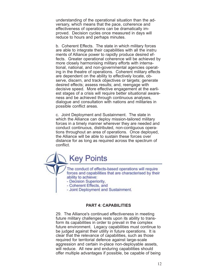understanding of the operational situation than the adversary, which means that the pace, coherence and effectiveness of operations can be dramatically improved. Decision cycles once measured in days will reduce to hours and perhaps minutes.

b. Coherent Effects. The state in which military forces are able to integrate their capabilities with all the instru ments of Alliance power to rapidly produce desired effects. Greater operational coherence will be achieved by more closely harmonising military efforts with international, national, and non-governmental agencies operating in the theatre of operations. Coherent military effects are dependent on the ability to effectively locate, observe, discern, and track objectives or targets; generate desired effects; assess results; and, reengage with decisive speed. More effective engagement at the earliest stages of a crisis will require better situational awareness and be achieved through continuous analyses, dialogue and consultation with nations and militaries in possible conflict areas.

c. Joint Deployment and Sustainment. The state in which the Alliance can deploy mission-tailored military forces in a timely manner wherever they are needed and conduct continuous, distributed, non-contiguous operations throughout an area of operations. Once deployed, the Alliance will be able to sustain these forces over distance for as long as required across the spectrum of conflict.

**Key Points** The conduct of effects-based operations will require forces and capabilities that are characterised by their ability to achieve: - Decision Superiority, - Coherent Effects, and - Joint Deployment and Sustainment.

#### **PART 4: CAPABILITIES**

29. The Alliance's continued effectiveness in meeting future military challenges rests upon its ability to transform its capabilities in order to prevail in the complex future environment. Legacy capabilities must continue to be judged against their utility in future operations. It is clear that the relevance of capabilities, such as those required for territorial defence against large-scale aggression and certain in-place non-deployable assets, will reduce. All new and enduring capabilities should offer multiple advantages if possible, be capable of being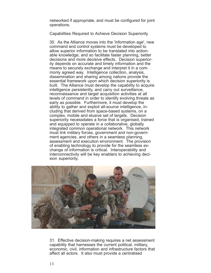networked if appropriate, and must be configured for joint operations.

Capabilities Required to Achieve Decision Superiority

30. As the Alliance moves into the 'information age', new command and control systems must be developed to allow superior information to be translated into actionable knowledge, and so facilitate faster planning, better decisions and more decisive effects. Decision superiority depends on accurate and timely information and the means to securely exchange and interpret it in a commonly agreed way. Intelligence collection, analysis, dissemination and sharing among nations provide the essential framework upon which decision superiority is built. The Alliance must develop the capability to acquire intelligence persistently, and carry out surveillance, reconnaissance and target acquisition activities at all levels of command in order to identify evolving threats as early as possible. Furthermore, it must develop the ability to gather and exploit all-source intelligence, including that derived from space-based systems, on a complex, mobile and elusive set of targets. Decision superiority necessitates a force that is organised, trained and equipped to operate in a collaborative, globally integrated common operational network. This network must link military forces, government and non-government agencies, and others in a seamless planning, assessment and execution environment. The provision of enabling technology to provide for the seamless exchange of information is critical. Interoperability and interconnectivity will be key enablers to achieving decision superiority.



31. Effective decision-making requires a net assessment capability that harnesses the current political, military, economic, civil, information and infrastructure factors that affect all actors. It also must provide a centralised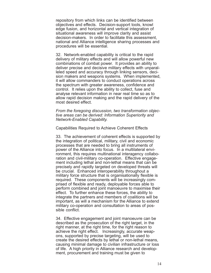repository from which links can be identified between objectives and effects. Decision-support tools, knowl edge fusion, and horizontal and vertical integration of situational awareness will improve clarity and assist decision-makers. In order to facilitate this assessment, national and Alliance intelligence sharing processes and procedures will be essential.

32. Network-enabled capability is critical to the rapid delivery of military effects and will allow powerful new combinations of combat power. It provides an ability to deliver precise and decisive military effects with unparalleled speed and accuracy through linking sensors, decision makers and weapons systems. When implemented, it will allow commanders to conduct operations across the spectrum with greater awareness, confidence and control. It relies upon the ability to collect, fuse and analyse relevant information in near real time so as to allow rapid decision making and the rapid delivery of the most desired effect.

*From the foregoing discussion, two transformation objective areas can be derived: Information Superiority and Network-Enabled Capability.*

Capabilities Required to Achieve Coherent Effects

33. The achievement of coherent effects is supported by the integration of political, military, civil and economic processes that are needed to bring all instruments of power of the Alliance into focus. In a multilateral environment, this requires multinational interagency collaboration and civil-military co-operation. Effective engagement including lethal and non-lethal means that can be precisely and rapidly targeted on developed threats will be crucial. Enhanced interoperability throughout a military force structure that is organisationally flexible is required. These components will be increasingly comprised of flexible and ready, deployable forces able to perform combined and joint manoeuvre to maximise their effect. To further enhance these forces, the ability to integrate the partners and members of coalitions will be important, as will a mechanism for the Alliance to extend military co-operation and consultation to areas of possible conflict.

34. Effective engagement and joint manoeuvre can be described as the prosecution of the right target, in the right manner, at the right time, for the right reason to achieve the right effect. Increasingly, accurate weapons, supported by precise targeting, will be used to create the desired effects by lethal or non-lethal means, causing minimal damage to civilian infrastructure or loss of life. A high priority in Alliance research and development, procurement and training must be given to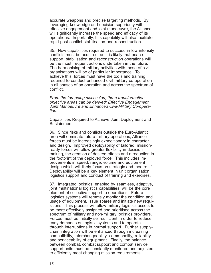accurate weapons and precise targeting methods. By leveraging knowledge and decision superiority with effective engagement and joint manoeuvre, the Alliance will significantly increase the speed and efficacy of its operations. Importantly, this capability will also facilitate rapid post-conflict stabilisation and reconstruction.

35. New capabilities required to succeed in low-intensity conflicts must be acquired, as it is likely that peace support, stabilisation and reconstruction operations will be the most frequent actions undertaken in the future. The harmonising of military activities with those of civil organisations will be of particular importance. To achieve this, forces must have the tools and training required to conduct enhanced civil-military co-operation in all phases of an operation and across the spectrum of conflict.

*From the foregoing discussion, three transformation objective areas can be derived: Effective Engagement, Joint Manoeuvre and Enhanced Civil-Military Co-operation.*

Capabilities Required to Achieve Joint Deployment and Sustainment

36. Since risks and conflicts outside the Euro-Atlantic area will dominate future military operations, Alliance forces must be increasingly expeditionary in character and design. Improved deployability of tailored, missionready forces will allow greater flexibility in decisionmaking, the creation of desired effects and a reduction in the footprint of the deployed force. This includes improvements in speed, range, volume and equipment design which will likely focus on strategic and theatre lift. Deployability will be a key element in unit organisation, logistics support and conduct of training and exercises.

37. Integrated logistics, enabled by seamless, adaptive, joint multinational logistics capabilities, will be the core element of collective support to operations. Future logistics systems will remotely monitor the condition and usage of equipment, issue spares and initiate new requisitions. This process will allow military logistics assets to be more effectively assigned and prioritised across the spectrum of military and non-military logistics providers. Forces must be initially self-sufficient in order to reduce early demands on logistic systems and to operate through interruptions in normal support. Further supplychain integration will be enhanced through increasing compatibility, interchangeability, commonality, reliability and serviceability of equipment. Finally, the balance between combat, combat support and combat service support units must be constantly monitored and adjusted to efficiently meet changing mission requirements.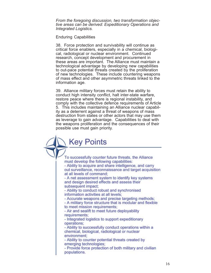*From the foregoing discussion, two transformation objective areas can be derived: Expeditionary Operations and Integrated Logistics.*

Enduring Capabilities

38. Force protection and survivability will continue as critical force enablers, especially in a chemical, biological, radiological or nuclear environment. Continued research, concept development and procurement in these areas are important. The Alliance must maintain a technological advantage by developing new capabilities to out-pace potential threats created by the proliferation of new technologies. These include countering weapons of mass effect and other asymmetric threats linked to the information age.

39. Alliance military forces must retain the ability to conduct high intensity conflict, halt inter-state warfare, restore peace where there is regional instability, and comply with the collective defence requirements of Article 5. This includes maintaining an Alliance nuclear capability as a deterrent against a threat of weapons of mass destruction from states or other actors that may use them as leverage to gain advantage. Capabilities to deal with the weapons proliferation and the consequences of their possible use must gain priority.

**Key Points** 

To successfully counter future threats, the Alliance must develop the following capabilities: - Ability to acquire and share intelligence, and carry out surveillance, reconnaissance and target acquisition at all levels of command; - A net assessment system to identify key systems and design desired effects and assess their subsequent impact: - Ability to conduct robust and synchronised information activities at all levels; - Accurate weapons and precise targeting methods; - A military force structure that is modular and flexible to meet mission requirements; - Air and sealift to meet future deployability requirements; - Integrated logistics to support expeditionary operations; - Ability to successfully conduct operations within a chemical, biological, radiological or nuclear environment: - Ability to counter potential threats created by emerging technologies; - Provide force protection of both military and civilian populations.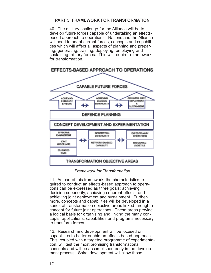#### **PART 5: FRAMEWORK FOR TRANSFORMATION**

40. The military challenge for the Alliance will be to develop future forces capable of undertaking an effectsbased approach to operations. Nations and the Alliance will need to adapt current forces, concepts and capabilities which will affect all aspects of planning and preparing, generating, training, deploying, employing and sustaining military forces. This will require a framework for transformation.



#### *Framework for Transformation*

41. As part of this framework, the characteristics required to conduct an effects-based approach to operations can be expressed as three goals: achieving decision superiority, achieving coherent effects, and achieving joint deployment and sustainment. Furthermore, concepts and capabilities will be developed in a series of transformation objective areas linked through a concept for future joint operations. These areas provide a logical basis for organising and linking the many concepts, applications, capabilities and programs necessary to transform forces.

42. Research and development will be focused on capabilities to better enable an effects-based approach. This, coupled with a targeted programme of experimentation, will test the most promising transformational concepts and will be accomplished early in the development process. Spiral development will allow those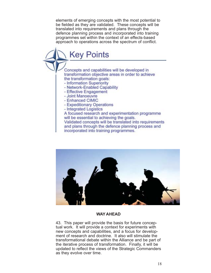elements of emerging concepts with the most potential to be fielded as they are validated. These concepts will be translated into requirements and plans through the defence planning process and incorporated into training programmes set within the context of an effects-based approach to operations across the spectrum of conflict.





#### **WAY AHEAD**

43. This paper will provide the basis for future conceptual work. It will provide a context for experiments with new concepts and capabilities, and a focus for development of research and doctrine. It also will stimulate the transformational debate within the Alliance and be part of the iterative process of transformation. Finally, it will be updated to reflect the views of the Strategic Commanders as they evolve over time.